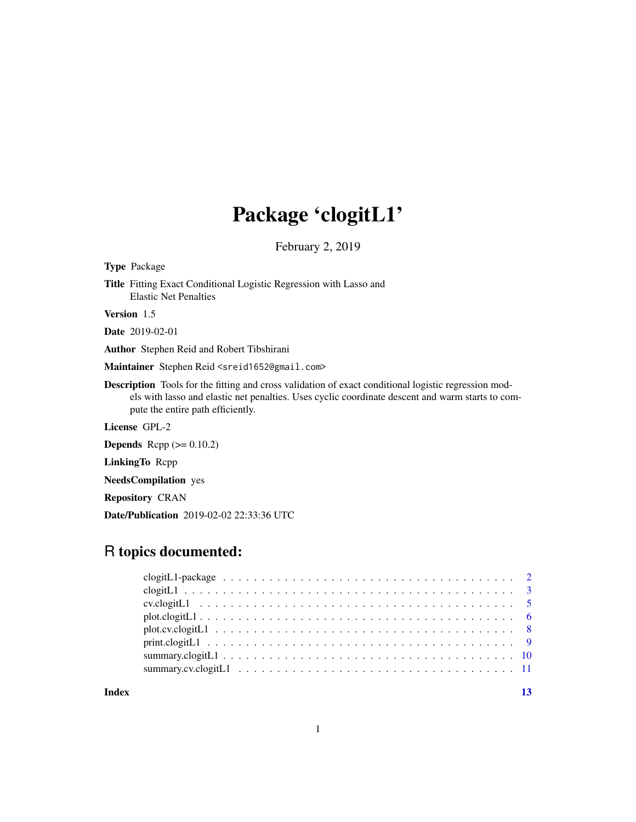## Package 'clogitL1'

February 2, 2019

Type Package Title Fitting Exact Conditional Logistic Regression with Lasso and Elastic Net Penalties Version 1.5 Date 2019-02-01 Author Stephen Reid and Robert Tibshirani Maintainer Stephen Reid <sreid1652@gmail.com>

Description Tools for the fitting and cross validation of exact conditional logistic regression models with lasso and elastic net penalties. Uses cyclic coordinate descent and warm starts to compute the entire path efficiently.

License GPL-2

**Depends** Rcpp  $(>= 0.10.2)$ 

LinkingTo Rcpp

NeedsCompilation yes

Repository CRAN

Date/Publication 2019-02-02 22:33:36 UTC

## R topics documented:

**Index** [13](#page-12-0)

1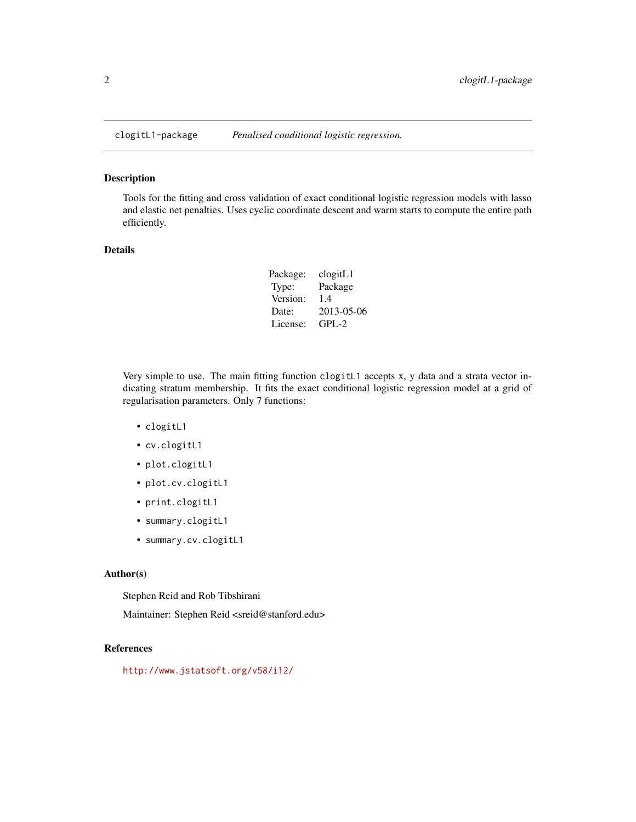<span id="page-1-0"></span>

Tools for the fitting and cross validation of exact conditional logistic regression models with lasso and elastic net penalties. Uses cyclic coordinate descent and warm starts to compute the entire path efficiently.

#### Details

| Package: | clogitL1   |
|----------|------------|
| Type:    | Package    |
| Version: | 1.4        |
| Date:    | 2013-05-06 |
| License: | $GPL-2$    |

Very simple to use. The main fitting function clogitL1 accepts x, y data and a strata vector indicating stratum membership. It fits the exact conditional logistic regression model at a grid of regularisation parameters. Only 7 functions:

- clogitL1
- cv.clogitL1
- plot.clogitL1
- plot.cv.clogitL1
- print.clogitL1
- summary.clogitL1
- summary.cv.clogitL1

#### Author(s)

Stephen Reid and Rob Tibshirani

Maintainer: Stephen Reid <sreid@stanford.edu>

#### References

<http://www.jstatsoft.org/v58/i12/>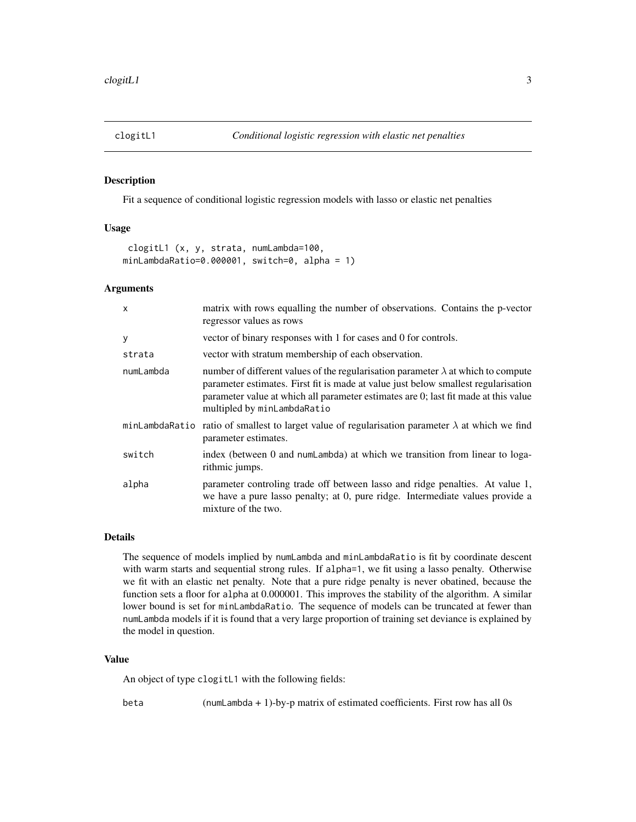<span id="page-2-1"></span><span id="page-2-0"></span>

Fit a sequence of conditional logistic regression models with lasso or elastic net penalties

## Usage

clogitL1 (x, y, strata, numLambda=100, minLambdaRatio=0.000001, switch=0, alpha = 1)

#### Arguments

| $\mathsf{x}$ | matrix with rows equalling the number of observations. Contains the p-vector<br>regressor values as rows                                                                                                                                                                                             |
|--------------|------------------------------------------------------------------------------------------------------------------------------------------------------------------------------------------------------------------------------------------------------------------------------------------------------|
| У            | vector of binary responses with 1 for cases and 0 for controls.                                                                                                                                                                                                                                      |
| strata       | vector with stratum membership of each observation.                                                                                                                                                                                                                                                  |
| numLambda    | number of different values of the regularisation parameter $\lambda$ at which to compute<br>parameter estimates. First fit is made at value just below smallest regularisation<br>parameter value at which all parameter estimates are 0; last fit made at this value<br>multipled by minLambdaRatio |
|              | minLambdaRatio ratio of smallest to larget value of regularisation parameter $\lambda$ at which we find<br>parameter estimates.                                                                                                                                                                      |
| switch       | index (between 0 and numLambda) at which we transition from linear to loga-<br>rithmic jumps.                                                                                                                                                                                                        |
| alpha        | parameter controling trade off between lasso and ridge penalties. At value 1,<br>we have a pure lasso penalty; at 0, pure ridge. Intermediate values provide a<br>mixture of the two.                                                                                                                |

## Details

The sequence of models implied by numLambda and minLambdaRatio is fit by coordinate descent with warm starts and sequential strong rules. If alpha=1, we fit using a lasso penalty. Otherwise we fit with an elastic net penalty. Note that a pure ridge penalty is never obatined, because the function sets a floor for alpha at 0.000001. This improves the stability of the algorithm. A similar lower bound is set for minLambdaRatio. The sequence of models can be truncated at fewer than numLambda models if it is found that a very large proportion of training set deviance is explained by the model in question.

#### Value

An object of type clogitL1 with the following fields:

beta (numLambda + 1)-by-p matrix of estimated coefficients. First row has all 0s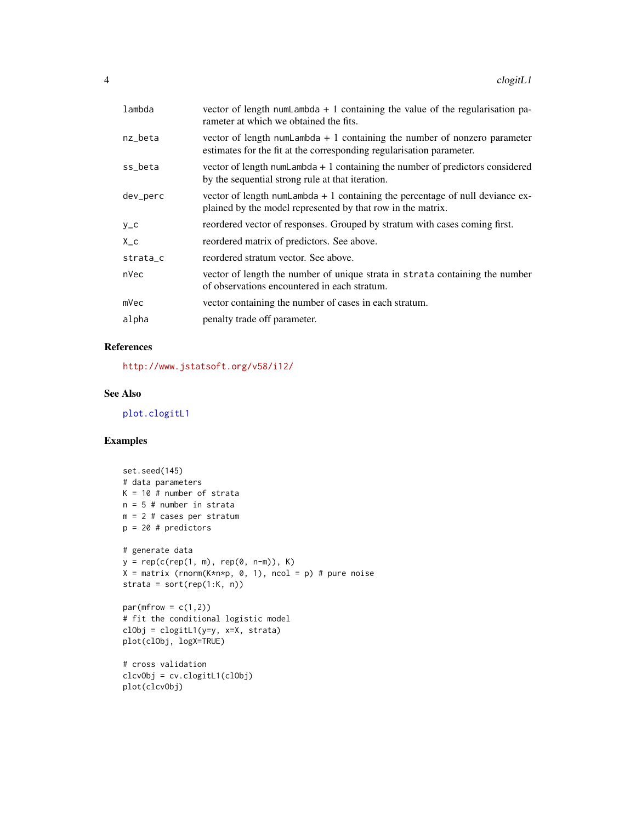<span id="page-3-0"></span>

| lambda   | vector of length numLambda $+1$ containing the value of the regularisation pa-<br>rameter at which we obtained the fits.                           |
|----------|----------------------------------------------------------------------------------------------------------------------------------------------------|
| nz_beta  | vector of length numLambda $+1$ containing the number of nonzero parameter<br>estimates for the fit at the corresponding regularisation parameter. |
| ss_beta  | vector of length numLambda $+1$ containing the number of predictors considered<br>by the sequential strong rule at that iteration.                 |
| dev_perc | vector of length numLambda $+1$ containing the percentage of null deviance ex-<br>plained by the model represented by that row in the matrix.      |
| $y_{-}c$ | reordered vector of responses. Grouped by stratum with cases coming first.                                                                         |
| $X_{-}c$ | reordered matrix of predictors. See above.                                                                                                         |
| strata_c | reordered stratum vector. See above.                                                                                                               |
| nVec     | vector of length the number of unique strata in strata containing the number<br>of observations encountered in each stratum.                       |
| mVec     | vector containing the number of cases in each stratum.                                                                                             |
| alpha    | penalty trade off parameter.                                                                                                                       |
|          |                                                                                                                                                    |

## References

<http://www.jstatsoft.org/v58/i12/>

## See Also

[plot.clogitL1](#page-5-1)

plot(clcvObj)

```
set.seed(145)
# data parameters
K = 10 # number of strata
n = 5 # number in strata
m = 2 # cases per stratum
p = 20 # predictors
# generate data
y = rep(c(rep(1, m), rep(0, n-m)), K)X = matrix (rnorm(K*n*p, 0, 1), ncol = p) # pure noisestrata = sort(rep(1:K, n))
par(mfrow = c(1,2))# fit the conditional logistic model
clObj = clogitL1(y=y, x=X, strata)
plot(clObj, logX=TRUE)
# cross validation
clcvObj = cv.clogitL1(clObj)
```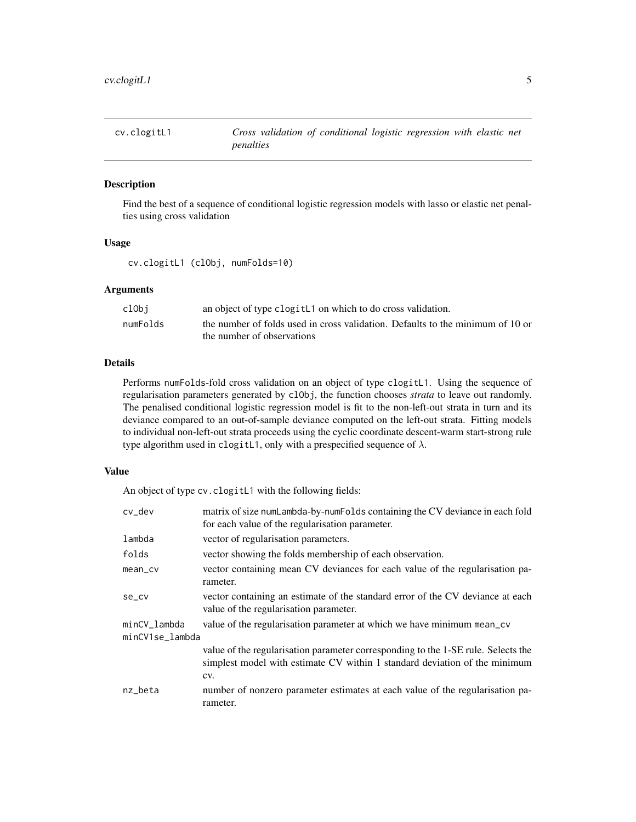<span id="page-4-1"></span><span id="page-4-0"></span>

Find the best of a sequence of conditional logistic regression models with lasso or elastic net penalties using cross validation

#### Usage

cv.clogitL1 (clObj, numFolds=10)

#### Arguments

| clObi    | an object of type clogit L1 on which to do cross validation.                   |
|----------|--------------------------------------------------------------------------------|
| numFolds | the number of folds used in cross validation. Defaults to the minimum of 10 or |
|          | the number of observations                                                     |

#### Details

Performs numFolds-fold cross validation on an object of type clogitL1. Using the sequence of regularisation parameters generated by clObj, the function chooses *strata* to leave out randomly. The penalised conditional logistic regression model is fit to the non-left-out strata in turn and its deviance compared to an out-of-sample deviance computed on the left-out strata. Fitting models to individual non-left-out strata proceeds using the cyclic coordinate descent-warm start-strong rule type algorithm used in clogitL1, only with a prespecified sequence of  $\lambda$ .

#### Value

An object of type cv.clogitL1 with the following fields:

| matrix of size numLambda-by-numFolds containing the CV deviance in each fold<br>for each value of the regularisation parameter.                                        |
|------------------------------------------------------------------------------------------------------------------------------------------------------------------------|
| vector of regularisation parameters.                                                                                                                                   |
| vector showing the folds membership of each observation.                                                                                                               |
| vector containing mean CV deviances for each value of the regularisation pa-<br>rameter.                                                                               |
| vector containing an estimate of the standard error of the CV deviance at each<br>value of the regularisation parameter.                                               |
| value of the regularisation parameter at which we have minimum mean_cv                                                                                                 |
| minCV1se_lambda                                                                                                                                                        |
| value of the regularisation parameter corresponding to the 1-SE rule. Selects the<br>simplest model with estimate CV within 1 standard deviation of the minimum<br>CV. |
| number of nonzero parameter estimates at each value of the regularisation pa-<br>rameter.                                                                              |
|                                                                                                                                                                        |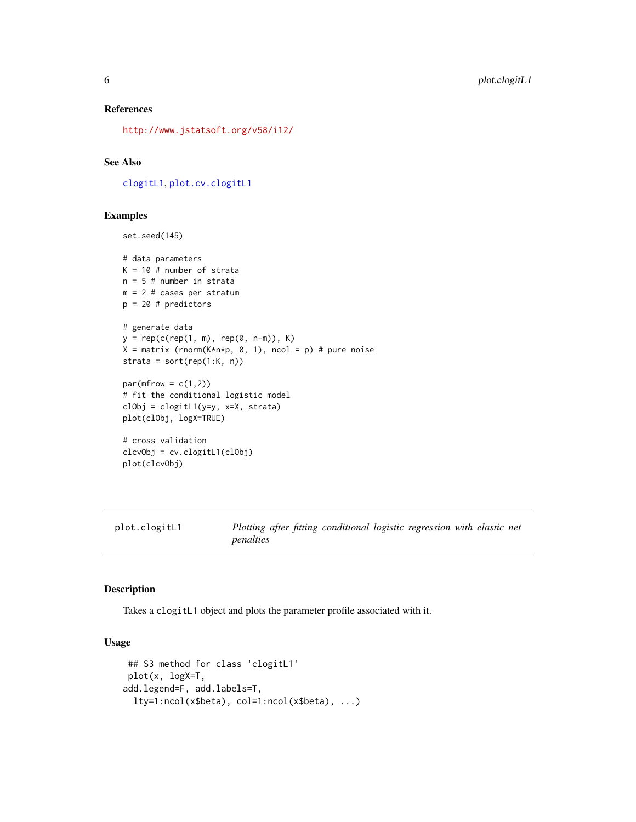#### <span id="page-5-0"></span>References

<http://www.jstatsoft.org/v58/i12/>

## See Also

[clogitL1](#page-2-1), [plot.cv.clogitL1](#page-7-1)

#### Examples

```
set.seed(145)
# data parameters
K = 10 # number of strata
n = 5 # number in strata
m = 2 # cases per stratum
p = 20 # predictors
# generate data
y = rep(c(rep(1, m), rep(0, n-m)), K)X = matrix (rnorm(K*n*p, 0, 1), ncol = p) # pure noise
strata = sort(rep(1:K, n))
par(mfrow = c(1,2))# fit the conditional logistic model
clObj = clogitL1(y=y, x=X, strata)
plot(clObj, logX=TRUE)
# cross validation
clcvObj = cv.clogitL1(clObj)
plot(clcvObj)
```
<span id="page-5-1"></span>

plot.clogitL1 *Plotting after fitting conditional logistic regression with elastic net penalties*

#### Description

Takes a clogitL1 object and plots the parameter profile associated with it.

## Usage

```
## S3 method for class 'clogitL1'
plot(x, logX=T,
add.legend=F, add.labels=T,
 lty=1:ncol(x$beta), col=1:ncol(x$beta), ...)
```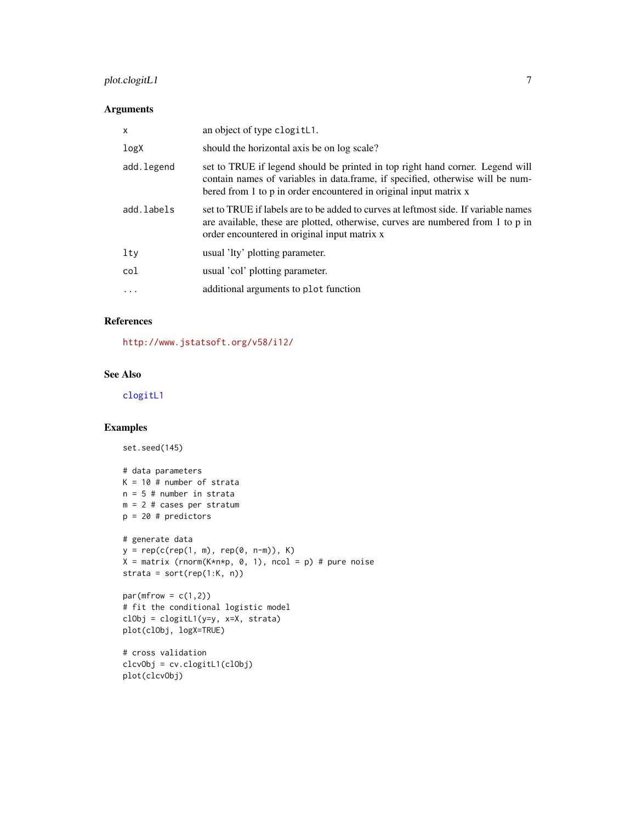## <span id="page-6-0"></span>plot.clogitL1 7

## Arguments

| $\mathsf{x}$ | an object of type clogitL1.                                                                                                                                                                                                          |
|--------------|--------------------------------------------------------------------------------------------------------------------------------------------------------------------------------------------------------------------------------------|
| logX         | should the horizontal axis be on log scale?                                                                                                                                                                                          |
| add.legend   | set to TRUE if legend should be printed in top right hand corner. Legend will<br>contain names of variables in data.frame, if specified, otherwise will be num-<br>bered from 1 to p in order encountered in original input matrix x |
| add.labels   | set to TRUE if labels are to be added to curves at leftmost side. If variable names<br>are available, these are plotted, otherwise, curves are numbered from 1 to p in<br>order encountered in original input matrix x               |
| lty          | usual 'lty' plotting parameter.                                                                                                                                                                                                      |
| col          | usual 'col' plotting parameter.                                                                                                                                                                                                      |
| $\cdots$     | additional arguments to plot function                                                                                                                                                                                                |
|              |                                                                                                                                                                                                                                      |

## References

<http://www.jstatsoft.org/v58/i12/>

## See Also

[clogitL1](#page-2-1)

```
set.seed(145)
# data parameters
K = 10 # number of strata
n = 5 # number in strata
m = 2 # cases per stratum
p = 20 # predictors
# generate data
y = rep(c(rep(1, m), rep(0, n-m)), K)X = matrix (rnorm(K*n*p, 0, 1), ncol = p) # pure noise
strata = sort(rep(1:K, n))
par(mfrow = c(1,2))# fit the conditional logistic model
clObj = clogitL1(y=y, x=X, strata)
```

```
plot(clObj, logX=TRUE)
```

```
# cross validation
clcvObj = cv.clogitL1(clObj)
plot(clcvObj)
```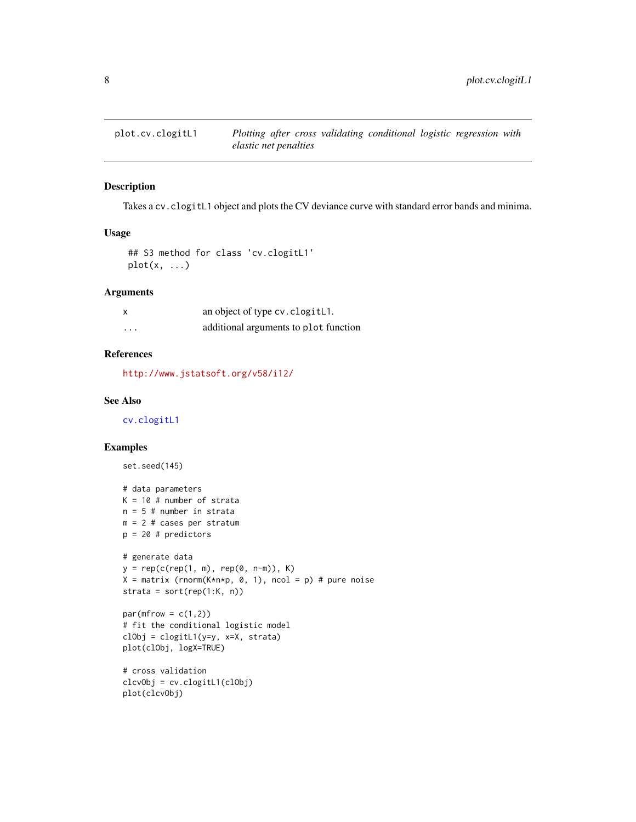<span id="page-7-1"></span><span id="page-7-0"></span>

Takes a cv.clogitL1 object and plots the CV deviance curve with standard error bands and minima.

## Usage

```
## S3 method for class 'cv.clogitL1'
plot(x, \ldots)
```
## Arguments

| $\boldsymbol{\mathsf{x}}$ | an object of type cv. clogit L1.      |
|---------------------------|---------------------------------------|
| $\cdot$                   | additional arguments to plot function |

## References

<http://www.jstatsoft.org/v58/i12/>

## See Also

[cv.clogitL1](#page-4-1)

set.seed(145)

```
# data parameters
K = 10 # number of strata
n = 5 # number in strata
m = 2 # cases per stratum
p = 20 # predictors
# generate data
y = rep(c(rep(1, m), rep(0, n-m)), K)X = matrix (rnorm(K*n*p, 0, 1), ncol = p) # pure noise
strata = sort(rep(1:K, n))par(mfrow = c(1,2))# fit the conditional logistic model
```

```
clObj = clogitL1(y=y, x=X, strata)
plot(clObj, logX=TRUE)
```

```
# cross validation
clcvObj = cv.clogitL1(clObj)
plot(clcvObj)
```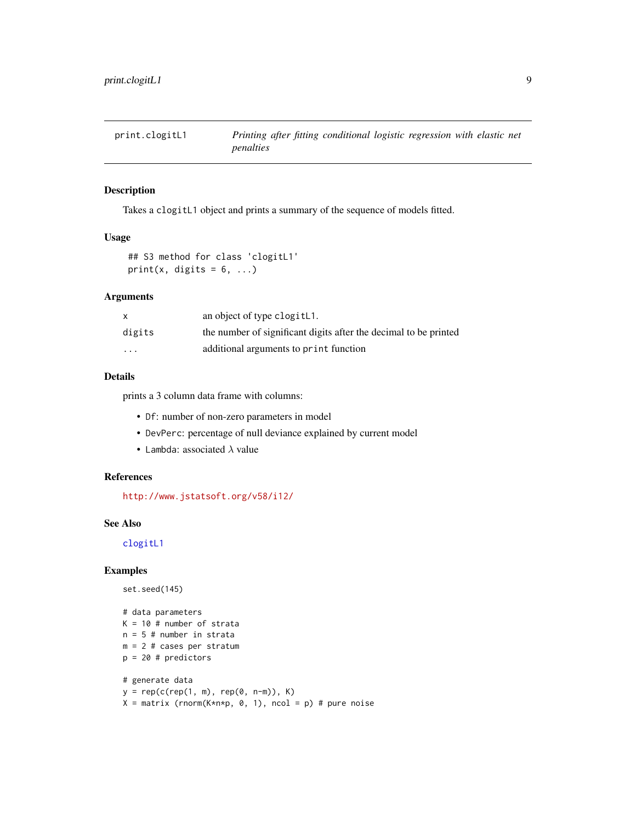<span id="page-8-0"></span>

Takes a clogitL1 object and prints a summary of the sequence of models fitted.

#### Usage

```
## S3 method for class 'clogitL1'
print(x, digits = 6, ...)
```
## Arguments

|          | an object of type clogitL1.                                      |
|----------|------------------------------------------------------------------|
| digits   | the number of significant digits after the decimal to be printed |
| $\cdots$ | additional arguments to print function                           |

## Details

prints a 3 column data frame with columns:

- Df: number of non-zero parameters in model
- DevPerc: percentage of null deviance explained by current model
- Lambda: associated  $\lambda$  value

#### References

<http://www.jstatsoft.org/v58/i12/>

#### See Also

[clogitL1](#page-2-1)

```
set.seed(145)
```

```
# data parameters
K = 10 # number of strata
n = 5 # number in strata
m = 2 # cases per stratum
p = 20 # predictors
# generate data
y = rep(c(rep(1, m), rep(0, n-m)), K)
```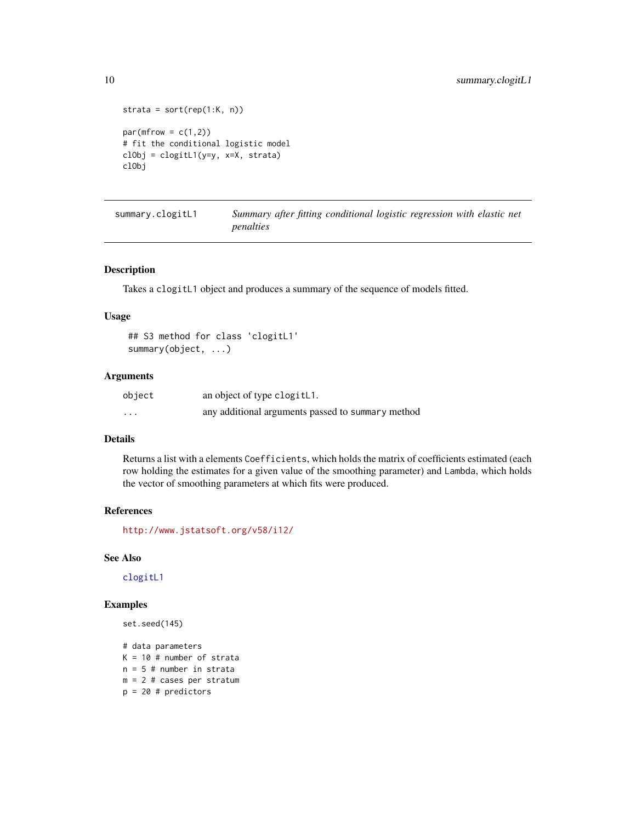```
strata = sort(rep(1:K, n))par(mfrow = c(1,2))# fit the conditional logistic model
clObj = clogitL1(y=y, x=X, strata)
clObj
```
summary.clogitL1 *Summary after fitting conditional logistic regression with elastic net penalties*

## Description

Takes a clogitL1 object and produces a summary of the sequence of models fitted.

## Usage

```
## S3 method for class 'clogitL1'
summary(object, ...)
```
## Arguments

| object   | an object of type clogitL1.                       |
|----------|---------------------------------------------------|
| $\cdots$ | any additional arguments passed to summary method |

## Details

Returns a list with a elements Coefficients, which holds the matrix of coefficients estimated (each row holding the estimates for a given value of the smoothing parameter) and Lambda, which holds the vector of smoothing parameters at which fits were produced.

#### References

<http://www.jstatsoft.org/v58/i12/>

## See Also

[clogitL1](#page-2-1)

## Examples

```
set.seed(145)
```
# data parameters  $K = 10$  # number of strata  $n = 5$  # number in strata m = 2 # cases per stratum  $p = 20$  # predictors

<span id="page-9-0"></span>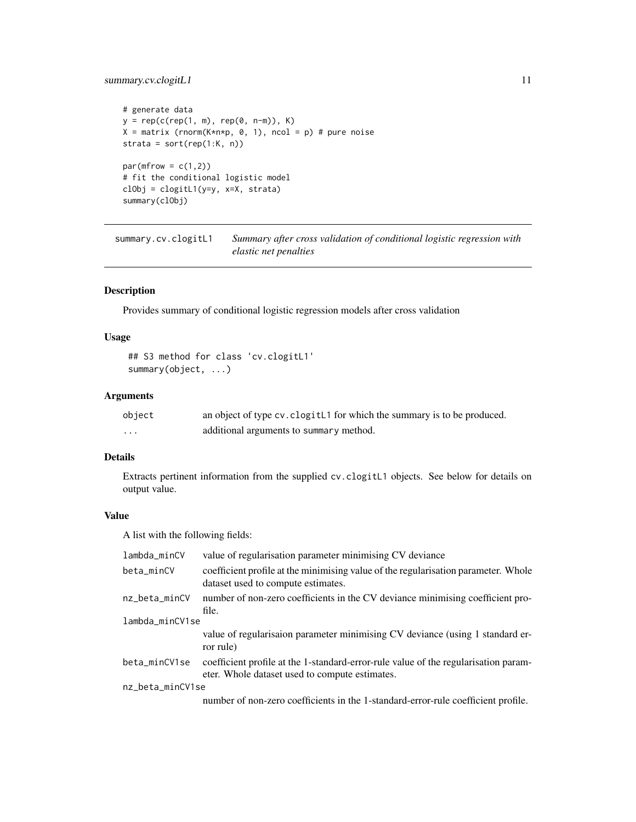## <span id="page-10-0"></span>summary.cv.clogitL1 11

```
# generate data
y = rep(c(rep(1, m), rep(0, n-m)), K)X = matrix (rnorm(K*n*p, 0, 1), ncol = p) # pure noisestrata = sort(rep(1:K, n))par(mfrow = c(1,2))# fit the conditional logistic model
clObj = clogitL1(y=y, x=X, strata)
summary(clObj)
```
summary.cv.clogitL1 *Summary after cross validation of conditional logistic regression with elastic net penalties*

## Description

Provides summary of conditional logistic regression models after cross validation

## Usage

```
## S3 method for class 'cv.clogitL1'
summary(object, ...)
```
## Arguments

| object   | an object of type cv. clogit L1 for which the summary is to be produced. |
|----------|--------------------------------------------------------------------------|
| $\cdots$ | additional arguments to summary method.                                  |

## Details

Extracts pertinent information from the supplied cv.clogitL1 objects. See below for details on output value.

## Value

A list with the following fields:

| lambda_minCV     | value of regularisation parameter minimising CV deviance                                                                              |
|------------------|---------------------------------------------------------------------------------------------------------------------------------------|
| beta_minCV       | coefficient profile at the minimising value of the regularisation parameter. Whole<br>dataset used to compute estimates.              |
| nz_beta_minCV    | number of non-zero coefficients in the CV deviance minimising coefficient pro-                                                        |
|                  | file.                                                                                                                                 |
| lambda_minCV1se  |                                                                                                                                       |
|                  | value of regularisaion parameter minimising CV deviance (using 1 standard er-<br>ror rule)                                            |
| beta_minCV1se    | coefficient profile at the 1-standard-error-rule value of the regularisation param-<br>eter. Whole dataset used to compute estimates. |
| nz_beta_minCV1se |                                                                                                                                       |
|                  | number of non-zero coefficients in the 1-standard-error-rule coefficient profile.                                                     |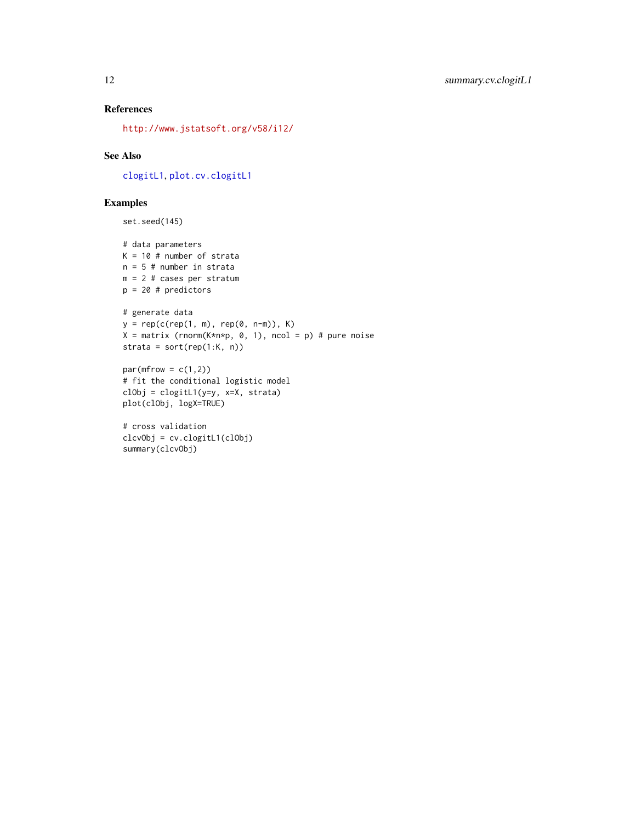## <span id="page-11-0"></span>References

<http://www.jstatsoft.org/v58/i12/>

## See Also

[clogitL1](#page-2-1), [plot.cv.clogitL1](#page-7-1)

```
set.seed(145)
```

```
# data parameters
K = 10 # number of strata
n = 5 # number in strata
m = 2 # cases per stratum
p = 20 # predictors
# generate data
y = rep(c(rep(1, m), rep(0, n-m)), K)
X = matrix (rnorm(K*n*p, 0, 1), ncol = p) # pure noisestrata = sort(rep(1:K, n))
par(mfrow = c(1,2))# fit the conditional logistic model
clObj = clogitL1(y=y, x=X, strata)
plot(clObj, logX=TRUE)
# cross validation
clcvObj = cv.clogitL1(clObj)
summary(clcvObj)
```